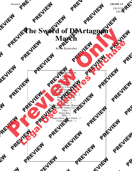## **The Sword of D'Artagnan March**

Kevin Kaisershot

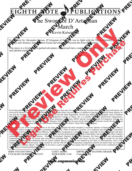## **EIGHTH NOTE PREVIEW PREVIEW PREVIEW PREVIEW PREVIEW PREVIEW PREVIEW PREVIEW PREVIEW PREVIEW PREVIEW PREVIEW PREVIEW PREVIEW PREVIEW PREVIEW PREVIEW PREVIEW PREVIEW PREVIEW PREVIEW PREVIEW PREVIEW PREVIEW PREVIEW PREVIEW P**

## The Sword of D'Artagnan March

Kevin Kaisershot

In the story by Alexandre Dumas, D'Artagnan of Gascony was to fight with the Three Musketeers (Athos Porthos and Aramis), become their friend and ultimately become the Four Musketeers.

This piece is a lively action packed adventure compressed into a standard march form filled with sword and spirited exploits.

Kevin Kaisershot earned a bachelor's degree in music care at ion from the University of Nebraska-Lincoln where he graduated with honors. He received his Masters Degree in Trumpet Performance from Ulinois State University where in addition to playing in the Faculty Brass Quintet, he was also the Graduate Assistant and Assistant Conductor in the ISU Band Department. He has done additional postgraduate work at Northern Illinois University (Supervisory Endorsement) and Vandercook College of Music. He is a member of several professional organizations, including the International Trumpet Guild, Ulinois Music Educators Association, MENC and the American Society of Composers, Authors and Publishers, He was a finalist for Kane County (11) Educator of the Year where he recei He was a finalist for Kane County (IL) Educator of the Year where he received the Distinguished Educator Award. He also received<br>If Recognition from the *Phinois State Board of Education as part of their* "Those Who Excel" mition from the *Illinois* State Board of Education as part of their "Those Who Excel" program. EIGHTH NOTE<br>The Sword of D'Ai<br>March<br>Engines and Aramsis, Decome their friend and ultimately become the<br>This piece is a lively action packed adventure compressed into a ste<br>and spirited exploits. EIGHTH NOTE<br>
The Sword of D'Artagnan<br>
New The Street of Park street Park and Contact Park and Contact Park and Contact Park and Contact Park and Contact Park and Contact Park and Contact Park and Contact Park and Contact P Free story by Abstandre Dumas. D'Artuguan of Gascony was to first with the The Cordinal Conducts and Artunis), become their friend and ultimately become the Four Musketter<br>
This piece is a fivey action packet adventure com

Recognized as one of the foremost achievers in his field, Mr. Kaisershot has been included in numerous editions of Marquis' Who's Who in America as well as many former students nominating him for Who's Who of America's Teachers. As a conductor and clinician, Mr. Kaisershot has become well traveled throughout the Midwest. Internationally recognized as a composer/arranger, especially of music for trumpet and brass in general, his music has achieved critical acclaim. His music has been performed not only in the United States, but also in several other countries including Japan, Korea, Canada, Mexico, Denmark, Switzerland, England, Norway and Germany. His band, orchestra and solo/ensemble compositions are presently on several state contest lists including Ohio, Wisconsin and Texas. He has won several awards for his band compositions, including the distinction that his march entitled *Spectre of Fortune* was adopted by the State of Massachusetts Lion's Club Organizations as their official march. Most recently he won the ASCAP/MENC composition competition wherein his march entry was selected as "The Music Teachers March." Since 1994 he has been a yearly recipient of the annual ASCAP standard awards for his contributions to the advancement of American/Educational music. EIGHTH NOTE<br>
The Sword of D'Artagnan<br>
March<br>
New Indicates by Advancer Dunes, D'Artagnan<br>
New Indicates and Second Meridian Changes of Gascopy was to discuss the first of the Base of the Sword Advancer Dunes.<br>
This preced EIGHTH NOTE<br>
The Sword of D'Artagnan<br>
Kevin Kaisersbot<br>
Review Review PREVIEW PREVIEW PREVIEW PREVIEW PREVIEW PREVIEW PREVIEW PREVIEW PREVIEW PREVIEW PREVIEW PREVIEW PREVIEW PREVIEW PREVIEW PREVIEW PREVIEW PREVIEW PREVIEW Review Reisershot<br>
Review Religions of Group Preview of Group Preview President<br>
Review Review Preview Preview Preview Preview Preview Preview Preview Preview Preview Preview Preview Preview Preview Preview Preview Preview The Sword of D'Artagnan<br>
March<br>
Review Preview Preview Preview Preview Preview Preview Preview Preview Preview Preview Preview Preview Preview Preview Preview Preview Preview Preview Preview Preview Preview Preview Preview PREVIEW PREVIEW PREVIEW PREVIEW PREVIEW PREVIEW PREVIEW PREVIEW PREVIEW PREVIEW PREVIEW PREVIEW PREVIEW PREVIEW PREVIEW PREVIEW PREVIEW PREVIEW PREVIEW PREVIEW PREVIEW PREVIEW PREVIEW PREVIEW PREVIEW PREVIEW PREVIEW PREVIE EW PREVIEW PREVIEW PREVIEW PREVIEW PREVIEW PREVIEW PREVIEW PREVIEW PREVIEW PREVIEW PREVIEW PREVIEW PREVIEW PREVIEW PREVIEW PREVIEW PREVIEW PREVIEW PREVIEW PREVIEW PREVIEW PREVIEW PREVIEW PREVIEW PREVIEW PREVIEW PREVIEW PRE Factor on music<br>
Factor in music<br>
Factor in the University of Nebraska-Lincoln where he graduated with honors. He<br>
Therefore, when the ISU Band Department Re has done additional postgraduate work at Northern<br>
Consider the **PREVIEW THE CONSULTER CONSULTER CONSULTER CONSULTER CONSULTER CONSULTER CONSULTER (CONSULTER CONSULTER)**<br> **PREVIEW PREVIEW PREVIEW PREVIEW PREVIEW PREVIEW PREVIEW PREVIEW PREVIEW PREVIEW PREVIEW PREVIEW PREVIEW PREVIEW PR** proposed Distance Detail and Cascal Michael Control and Total Control and Total Control and Control and Control and Control and Control and Control and Control and Control and Control and Control and Control and Control an

ISBN: 9781554739943 CATALOG NUMBER: CB13237 COST: \$48.00 DURATION: 2:30 DIFFICULTY RATING:GRADE 1.5 Concert Band

**www.enpmusic.com**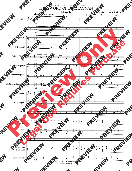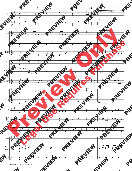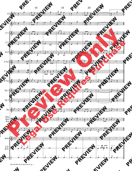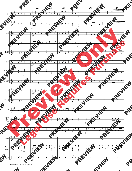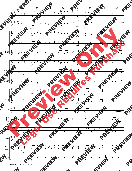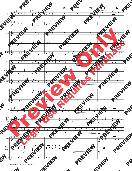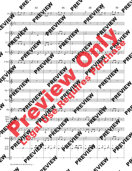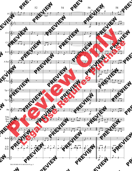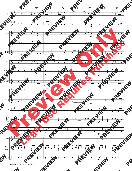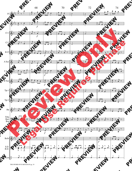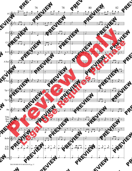